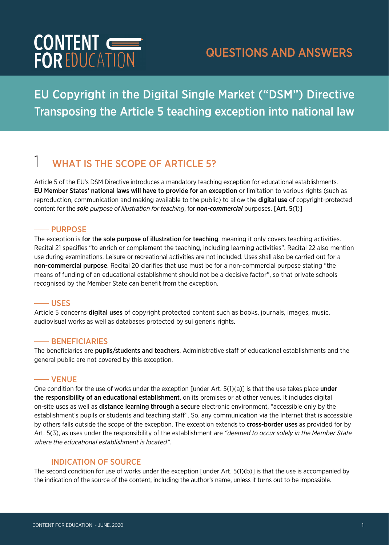

### EU Copyright in the Digital Single Market ("DSM") Directive Transposing the Article 5 teaching exception into national law

## **WHAT IS THE SCOPE OF ARTICLE 5?**

Article 5 of the EU's DSM Directive introduces a mandatory teaching exception for educational establishments. EU Member States' national laws will have to provide for an exception or limitation to various rights (such as reproduction, communication and making available to the public) to allow the **digital use** of copyright-protected content for the *sole purpose of illustration for teaching*, for *non-commercial* purposes. [Art. 5(1)]

### **-- PURPOSE**

The exception is for the sole purpose of illustration for teaching, meaning it only covers teaching activities. Recital 21 specifies "to enrich or complement the teaching, including learning activities". Recital 22 also mention use during examinations. Leisure or recreational activities are not included. Uses shall also be carried out for a non-commercial purpose. Recital 20 clarifies that use must be for a non-commercial purpose stating "the means of funding of an educational establishment should not be a decisive factor", so that private schools recognised by the Member State can benefit from the exception.

#### USES

Article 5 concerns digital uses of copyright protected content such as books, journals, images, music, audiovisual works as well as databases protected by sui generis rights.

#### $-$  BENEFICIARIES

The beneficiaries are pupils/students and teachers. Administrative staff of educational establishments and the general public are not covered by this exception.

#### VENUE

One condition for the use of works under the exception [under Art.  $5(1)(a)$ ] is that the use takes place under the responsibility of an educational establishment, on its premises or at other venues. It includes digital on-site uses as well as **distance learning through a secure** electronic environment, "accessible only by the establishment's pupils or students and teaching staff". So, any communication via the Internet that is accessible by others falls outside the scope of the exception. The exception extends to cross-border uses as provided for by Art. 5(3), as uses under the responsibility of the establishment are *"deemed to occur solely in the Member State where the educational establishment is located"*.

### $-$  INDICATION OF SOURCE

The second condition for use of works under the exception [under Art. 5(1)(b)] is that the use is accompanied by the indication of the source of the content, including the author's name, unless it turns out to be impossible.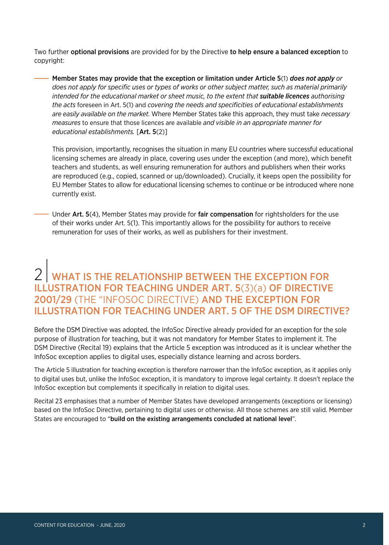Two further optional provisions are provided for by the Directive to help ensure a balanced exception to copyright:

Member States may provide that the exception or limitation under Article 5(1) *does not apply or does not apply for specific uses or types of works or other subject matter, such as material primarily intended for the educational market or sheet music, to the extent that suitable licences authorising the acts* foreseen in Art. 5(1) and *covering the needs and specificities of educational establishments are easily available on the market.* Where Member States take this approach, they must take *necessary measures* to ensure that those licences are available *and visible in an appropriate manner for educational establishments.* [Art. 5(2)]

This provision, importantly, recognises the situation in many EU countries where successful educational licensing schemes are already in place, covering uses under the exception (and more), which benefit teachers and students, as well ensuring remuneration for authors and publishers when their works are reproduced (e.g., copied, scanned or up/downloaded). Crucially, it keeps open the possibility for EU Member States to allow for educational licensing schemes to continue or be introduced where none currently exist.

 $-$  Under Art. 5(4), Member States may provide for fair compensation for rightsholders for the use of their works under Art. 5(1). This importantly allows for the possibility for authors to receive remuneration for uses of their works, as well as publishers for their investment.

### 2 WHAT IS THE RELATIONSHIP BETWEEN THE EXCEPTION FOR ILLUSTRATION FOR TEACHING UNDER ART. 5(3)(a) OF DIRECTIVE 2001/29 (THE "INFOSOC DIRECTIVE) AND THE EXCEPTION FOR ILLUSTRATION FOR TEACHING UNDER ART. 5 OF THE DSM DIRECTIVE?

Before the DSM Directive was adopted, the InfoSoc Directive already provided for an exception for the sole purpose of illustration for teaching, but it was not mandatory for Member States to implement it. The DSM Directive (Recital 19) explains that the Article 5 exception was introduced as it is unclear whether the InfoSoc exception applies to digital uses, especially distance learning and across borders.

The Article 5 illustration for teaching exception is therefore narrower than the InfoSoc exception, as it applies only to digital uses but, unlike the InfoSoc exception, it is mandatory to improve legal certainty. It doesn't replace the InfoSoc exception but complements it specifically in relation to digital uses.

Recital 23 emphasises that a number of Member States have developed arrangements (exceptions or licensing) based on the InfoSoc Directive, pertaining to digital uses or otherwise. All those schemes are still valid. Member States are encouraged to "build on the existing arrangements concluded at national level".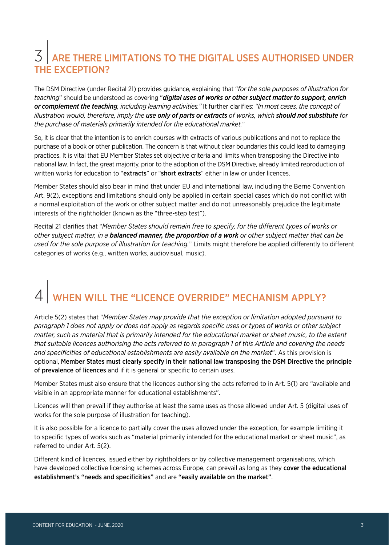### ARE THERE LIMITATIONS TO THE DIGITAL USES AUTHORISED UNDER THE EXCEPTION?

The DSM Directive (under Recital 21) provides guidance, explaining that "*for the sole purposes of illustration for teaching*" should be understood as covering "*digital uses of works or other subject matter to support, enrich or complement the teaching, including learning activities."* It further clarifies: *"In most cases, the concept of illustration would, therefore, imply the use only of parts or extracts of works, which should not substitute for the purchase of materials primarily intended for the educational market.*"

So, it is clear that the intention is to enrich courses with extracts of various publications and not to replace the purchase of a book or other publication. The concern is that without clear boundaries this could lead to damaging practices. It is vital that EU Member States set objective criteria and limits when transposing the Directive into national law. In fact, the great majority, prior to the adoption of the DSM Directive, already limited reproduction of written works for education to "extracts" or "short extracts" either in law or under licences.

Member States should also bear in mind that under EU and international law, including the Berne Convention Art. 9(2), exceptions and limitations should only be applied in certain special cases which do not conflict with a normal exploitation of the work or other subject matter and do not unreasonably prejudice the legitimate interests of the rightholder (known as the "three-step test").

Recital 21 clarifies that "*Member States should remain free to specify, for the different types of works or other subject matter, in a balanced manner, the proportion of a work or other subject matter that can be used for the sole purpose of illustration for teaching.*" Limits might therefore be applied differently to different categories of works (e.g., written works, audiovisual, music).

## WHEN WILL THE "LICENCE OVERRIDE" MECHANISM APPLY?

Article 5(2) states that "*Member States may provide that the exception or limitation adopted pursuant to paragraph 1 does not apply or does not apply as regards specific uses or types of works or other subject matter, such as material that is primarily intended for the educational market or sheet music, to the extent that suitable licences authorising the acts referred to in paragraph 1 of this Article and covering the needs and specificities of educational establishments are easily available on the market*". As this provision is optional, Member States must clearly specify in their national law transposing the DSM Directive the principle of prevalence of licences and if it is general or specific to certain uses.

Member States must also ensure that the licences authorising the acts referred to in Art. 5(1) are "available and visible in an appropriate manner for educational establishments".

Licences will then prevail if they authorise at least the same uses as those allowed under Art. 5 (digital uses of works for the sole purpose of illustration for teaching).

It is also possible for a licence to partially cover the uses allowed under the exception, for example limiting it to specific types of works such as "material primarily intended for the educational market or sheet music", as referred to under Art. 5(2).

Different kind of licences, issued either by rightholders or by collective management organisations, which have developed collective licensing schemes across Europe, can prevail as long as they cover the educational establishment's "needs and specificities" and are "easily available on the market".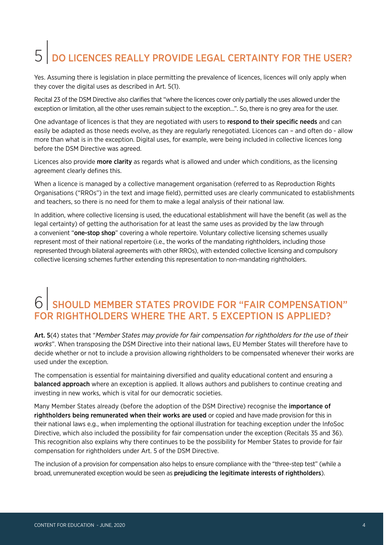## $\overline{5}$  DO LICENCES REALLY PROVIDE LEGAL CERTAINTY FOR THE USER?

Yes. Assuming there is legislation in place permitting the prevalence of licences, licences will only apply when they cover the digital uses as described in Art. 5(1).

Recital 23 of the DSM Directive also clarifies that "where the licences cover only partially the uses allowed under the exception or limitation, all the other uses remain subject to the exception…". So, there is no grey area for the user.

One advantage of licences is that they are negotiated with users to respond to their specific needs and can easily be adapted as those needs evolve, as they are regularly renegotiated. Licences can – and often do - allow more than what is in the exception. Digital uses, for example, were being included in collective licences long before the DSM Directive was agreed.

Licences also provide **more clarity** as regards what is allowed and under which conditions, as the licensing agreement clearly defines this.

When a licence is managed by a collective management organisation (referred to as Reproduction Rights Organisations ("RROs") in the text and image field), permitted uses are clearly communicated to establishments and teachers, so there is no need for them to make a legal analysis of their national law.

In addition, where collective licensing is used, the educational establishment will have the benefit (as well as the legal certainty) of getting the authorisation for at least the same uses as provided by the law through a convenient "one-stop shop" covering a whole repertoire. Voluntary collective licensing schemes usually represent most of their national repertoire (i.e., the works of the mandating rightholders, including those represented through bilateral agreements with other RROs), with extended collective licensing and compulsory collective licensing schemes further extending this representation to non-mandating rightholders.

## SHOULD MEMBER STATES PROVIDE FOR "FAIR COMPENSATION" FOR RIGHTHOLDERS WHERE THE ART. 5 EXCEPTION IS APPLIED?

Art. 5(4) states that "*Member States may provide for fair compensation for rightholders for the use of their works*". When transposing the DSM Directive into their national laws, EU Member States will therefore have to decide whether or not to include a provision allowing rightholders to be compensated whenever their works are used under the exception.

The compensation is essential for maintaining diversified and quality educational content and ensuring a balanced approach where an exception is applied. It allows authors and publishers to continue creating and investing in new works, which is vital for our democratic societies.

Many Member States already (before the adoption of the DSM Directive) recognise the importance of rightholders being remunerated when their works are used or copied and have made provision for this in their national laws e.g., when implementing the optional illustration for teaching exception under the InfoSoc Directive, which also included the possibility for fair compensation under the exception (Recitals 35 and 36). This recognition also explains why there continues to be the possibility for Member States to provide for fair compensation for rightholders under Art. 5 of the DSM Directive.

The inclusion of a provision for compensation also helps to ensure compliance with the "three-step test" (while a broad, unremunerated exception would be seen as prejudicing the legitimate interests of rightholders).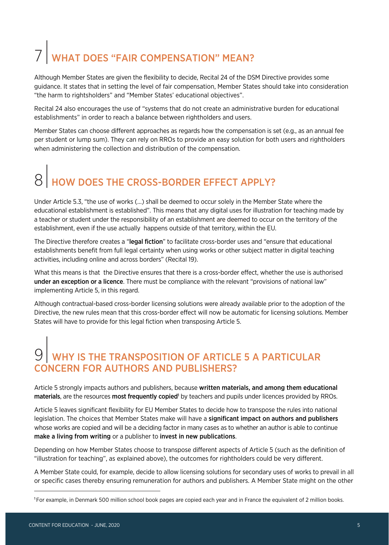# WHAT DOES "FAIR COMPENSATION" MEAN?

Although Member States are given the flexibility to decide, Recital 24 of the DSM Directive provides some guidance. It states that in setting the level of fair compensation, Member States should take into consideration "the harm to rightsholders" and "Member States' educational objectives".

Recital 24 also encourages the use of "systems that do not create an administrative burden for educational establishments" in order to reach a balance between rightholders and users.

Member States can choose different approaches as regards how the compensation is set (e.g., as an annual fee per student or lump sum). They can rely on RROs to provide an easy solution for both users and rightholders when administering the collection and distribution of the compensation.

# HOW DOES THE CROSS-BORDER EFFECT APPLY?

Under Article 5.3, "the use of works (…) shall be deemed to occur solely in the Member State where the educational establishment is established". This means that any digital uses for illustration for teaching made by a teacher or student under the responsibility of an establishment are deemed to occur on the territory of the establishment, even if the use actually happens outside of that territory, within the EU.

The Directive therefore creates a "legal fiction" to facilitate cross-border uses and "ensure that educational establishments benefit from full legal certainty when using works or other subject matter in digital teaching activities, including online and across borders" (Recital 19).

What this means is that the Directive ensures that there is a cross-border effect, whether the use is authorised under an exception or a licence. There must be compliance with the relevant "provisions of national law" implementing Article 5, in this regard.

Although contractual-based cross-border licensing solutions were already available prior to the adoption of the Directive, the new rules mean that this cross-border effect will now be automatic for licensing solutions. Member States will have to provide for this legal fiction when transposing Article 5.

## $\overline{9}$  WHY IS THE TRANSPOSITION OF ARTICLE 5 A PARTICULAR CONCERN FOR AUTHORS AND PUBLISHERS?

Article 5 strongly impacts authors and publishers, because written materials, and among them educational materials, are the resources most frequently copied<sup>1</sup> by teachers and pupils under licences provided by RROs.

Article 5 leaves significant flexibility for EU Member States to decide how to transpose the rules into national legislation. The choices that Member States make will have a significant impact on authors and publishers whose works are copied and will be a deciding factor in many cases as to whether an author is able to continue make a living from writing or a publisher to invest in new publications.

Depending on how Member States choose to transpose different aspects of Article 5 (such as the definition of "illustration for teaching", as explained above), the outcomes for rightholders could be very different.

A Member State could, for example, decide to allow licensing solutions for secondary uses of works to prevail in all or specific cases thereby ensuring remuneration for authors and publishers. A Member State might on the other

<sup>1</sup>For example, in Denmark 500 million school book pages are copied each year and in France the equivalent of 2 million books.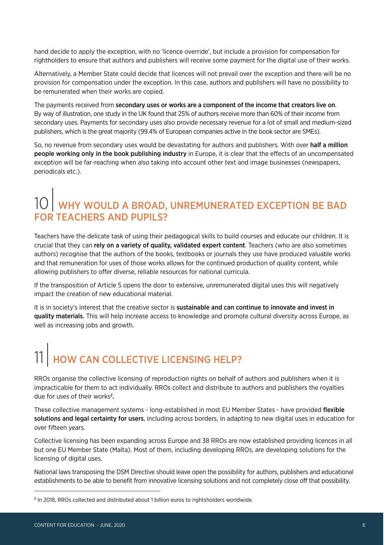hand decide to apply the exception, with no 'licence override', but include a provision for compensation for rightholders to ensure that authors and publishers will receive some payment for the digital use of their works.

Alternatively, a Member State could decide that licences will not prevail over the exception and there will be no provision for compensation under the exception. In this case, authors and publishers will have no possibility to be remunerated when their works are copied.

The payments received from secondary uses or works are a component of the income that creators live on. By way of illustration, one study in the UK found that 25% of authors receive more than 60% of their income from secondary uses. Payments for secondary uses also provide necessary revenue for a lot of small and medium-sized publishers, which is the great majority (99.4% of European companies active in the book sector are SMEs).

So, no revenue from secondary uses would be devastating for authors and publishers. With over half a million people working only in the book publishing industry in Europe, it is clear that the effects of an uncompensated exception will be far-reaching when also taking into account other text and image businesses (newspapers, periodicals etc.).

## 10 WHY WOULD A BROAD, UNREMUNERATED EXCEPTION BE BAD FOR TEACHERS AND PUPILS?

Teachers have the delicate task of using their pedagogical skills to build courses and educate our children. It is crucial that they can rely on a variety of quality, validated expert content. Teachers (who are also sometimes authors) recognise that the authors of the books, textbooks or journals they use have produced valuable works and that remuneration for uses of those works allows for the continued production of quality content, while allowing publishers to offer diverse, reliable resources for national curricula.

If the transposition of Article 5 opens the door to extensive, unremunerated digital uses this will negatively impact the creation of new educational material.

It is in society's interest that the creative sector is sustainable and can continue to innovate and invest in quality materials. This will help increase access to knowledge and promote cultural diversity across Europe, as well as increasing jobs and growth.

# 11 HOW CAN COLLECTIVE LICENSING HELP?

RROs organise the collective licensing of reproduction rights on behalf of authors and publishers when it is impracticable for them to act individually. RROs collect and distribute to authors and publishers the royalties due for uses of their works<sup>2</sup>.

These collective management systems - long-established in most EU Member States - have provided flexible solutions and legal certainty for users, including across borders, in adapting to new digital uses in education for over fifteen years.

Collective licensing has been expanding across Europe and 38 RROs are now established providing licences in all but one EU Member State (Malta). Most of them, including developing RROs, are developing solutions for the licensing of digital uses.

National laws transposing the DSM Directive should leave open the possibility for authors, publishers and educational establishments to be able to benefit from innovative licensing solutions and not completely close off that possibility.

<sup>&</sup>lt;sup>2</sup> In 2018, RROs collected and distributed about 1 billion euros to rightsholders worldwide.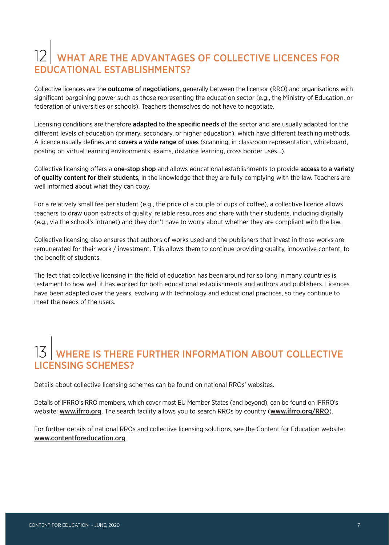## WHAT ARE THE ADVANTAGES OF COLLECTIVE LICENCES FOR EDUCATIONAL ESTABLISHMENTS?

Collective licences are the **outcome of negotiations**, generally between the licensor (RRO) and organisations with significant bargaining power such as those representing the education sector (e.g., the Ministry of Education, or federation of universities or schools). Teachers themselves do not have to negotiate.

Licensing conditions are therefore adapted to the specific needs of the sector and are usually adapted for the different levels of education (primary, secondary, or higher education), which have different teaching methods. A licence usually defines and covers a wide range of uses (scanning, in classroom representation, whiteboard, posting on virtual learning environments, exams, distance learning, cross border uses…).

Collective licensing offers a one-stop shop and allows educational establishments to provide access to a variety of quality content for their students, in the knowledge that they are fully complying with the law. Teachers are well informed about what they can copy.

For a relatively small fee per student (e.g., the price of a couple of cups of coffee), a collective licence allows teachers to draw upon extracts of quality, reliable resources and share with their students, including digitally (e.g., via the school's intranet) and they don't have to worry about whether they are compliant with the law.

Collective licensing also ensures that authors of works used and the publishers that invest in those works are remunerated for their work / investment. This allows them to continue providing quality, innovative content, to the benefit of students.

The fact that collective licensing in the field of education has been around for so long in many countries is testament to how well it has worked for both educational establishments and authors and publishers. Licences have been adapted over the years, evolving with technology and educational practices, so they continue to meet the needs of the users.

## |<br>| WHERE IS THERE FURTHER INFORMATION ABOUT COLLECTIVE LICENSING SCHEME

Details about collective licensing schemes can be found on national RROs' websites.

Details of IFRRO's RRO members, which cover most EU Member States (and beyond), can be found on IFRRO's website: www.ifrro.org. The search facility allows you to search RROs by country (www.ifrro.org/RRO).

For further details of national RROs and collective licensing solutions, see the Content for Education website: www.contentforeducation.org.